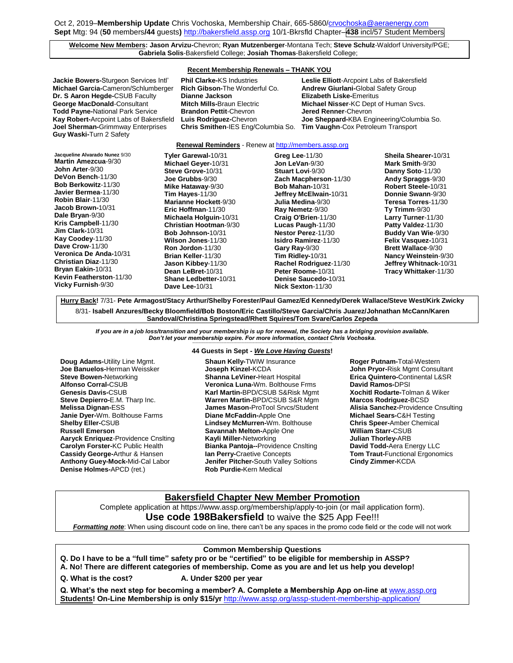## **Welcome New Members: Jason Arvizu-**Chevron; **Ryan Mutzenberger**-Montana Tech; **Steve Schulz**-Waldorf University/PGE; **Gabriela Solis**-Bakersfield College; **Josiah Thomas**-Bakersfield College;

### **Recent Membership Renewals – THANK YOU**

| Jackie Bowers-Sturgeon Services Intl'   |
|-----------------------------------------|
| Michael Garcia-Cameron/Schlumberger     |
| Dr. S Aaron Hegde-CSUB Faculty          |
| George MacDonald-Consultant             |
| <b>Todd Payne-National Park Service</b> |
| Kay Robert-Arcpoint Labs of Bakersfield |
| Joel Sherman-Grimmway Enterprises       |
| Guy Waski-Turn 2 Safety                 |

**Dianne Jackson Elizabeth Liske-Emeritus Brandon Pettit-Chevron Chris Smithen-IES Eng/Columbia So. Tim Vaughn-Cox Petroleum Transport** 

**Phil Clarke-KS Industries <b>Leslie Elliott**-Arcpoint Labs of Bakersfield **Rich Gibson-The Wonderful Co. <b>Andrew Giurlani-**Global Safety Group **Mitch Mills-**Braun Electric **Michael Nisser-KC Dept of Human Svcs.**<br>**Brandon Pettit-Chevron <b>Michael Renner-Chevron Luis Rodriguez-**Chevron **Joe Sheppard-**KBA Engineering/Columbia So.

### **Renewal Reminders** - Renew a[t http://members.assp.org](http://members.assp.org/)

| Jacqueline Alvarado Nunez 9/30                 | Tyler Garewal-10/31                     | Greg Lee-11/30                            |
|------------------------------------------------|-----------------------------------------|-------------------------------------------|
| <b>Martin Amezcua-9/30</b>                     | Michael Geyer-10/31                     | Jon LeVan-9/30                            |
| John Arter-9/30                                | Steve Grove-10/31                       | Stuart Lovi-9/30                          |
| DeVon Bench-11/30                              | Joe Grubbs-9/30                         | Zach Macpherson-11/30                     |
| Bob Berkowitz-11/30                            | Mike Hataway-9/30                       | Bob Mahan-10/31                           |
| Javier Bermea-11/30                            | Tim Hayes- $11/30$                      | Jeffrey McElwain-10/31                    |
| Robin Blair-11/30                              | Marianne Hockett-9/30                   | Julia Medina-9/30                         |
| Jacob Brown-10/31                              | Eric Hoffman-11/30                      | Ray Nemetz-9/30                           |
| Dale Bryan-9/30                                | Michaela Holguin-10/31                  | Craig O'Brien-11/30                       |
| Kris Campbell-11/30                            | <b>Christian Hootman-9/30</b>           | Lucas Paugh-11/30                         |
| Jim Clark-10/31                                | Bob Johnson-10/31                       | Nestor Perez-11/30                        |
| Kay Coodey-11/30                               | Wilson Jones-11/30                      | <b>Isidro Ramirez-11/30</b>               |
| Dave Crow-11/30                                | Ron Jordon-11/30                        | Gary Ray-9/30                             |
| Veronica De Anda-10/31<br>Christian Diaz-11/30 | Brian Keller-11/30                      | Tim Ridley-10/31                          |
| Bryan Eakin-10/31                              | Jason Kibbey-11/30                      | Rachel Rodriguez-11/30                    |
| Kevin Featherston-11/30                        | Dean LeBret-10/31                       | Peter Roome-10/31                         |
| Vicky Furnish-9/30                             | Shane Ledbetter-10/31<br>Dave Lee-10/31 | Denise Saucedo-10/31<br>Nick Sexton-11/30 |

**Sheila Shearer-**10/31 **Mark Smith**-9/30 **Danny Soto**-11/30 **Andy Spraggs**-9/30 **Robert Steele-**10/31 **Donnie Swann**-9/30 **Teresa Torres**-11/30 **Ty Trimm**-9/30 **Larry Turner**-11/30 **Patty Valdez**-11/30 **Buddy Van Wie**-9/30 **Felix Vasquez-**10/31 **Brett Wallace**-9/30 **Nancy Weinstein**-9/30 **Jeffrey Whitnack-**10/31 **Tracy Whittaker**-11/30

**Hurry Back!** 7/31- **Pete Armagost/Stacy Arthur/Shelby Forester/Paul Gamez/Ed Kennedy/Derek Wallace/Steve West/Kirk Zwicky** 8/31- **Isabell Anzures/Becky Bloomfield/Bob Boston/Eric Castillo/Steve Garcia/Chris Juarez/Johnathan McCann/Karen Sandoval/Christina Springstead/Rhett Squires/Tom Svare/Carlos Zepeda**

*If you are in a job loss/transition and your membership is up for renewal, the Society has a bridging provision available. Don't let your membership expire. For more information, contact Chris Vochoska.*  **-----------------------------------------------------------------------------------------------------------------------------------------------------------------------**

**Doug Adams-**Utility Line Mgmt. **Joe Banuelos-**Herman Weissker **Steve Bowen-**Networking **Alfonso Corral-**CSUB **Genesis Davis-**CSUB **Steve Depierro-**E.M. Tharp Inc. **Melissa Dignan-**ESS **Janie Dyer-**Wm. Bolthouse Farms **Shelby Eller-**CSUB **Russell Emerson Aaryck Enriquez**-Providence Cnslting **Carolyn Forster-**KC Public Health **Cassidy George-**Arthur & Hansen **Anthony Guey-Mock-**Mid-Cal Labor **Denise Holmes-**APCD (ret.)

### **44 Guests in Sept -** *We Love Having Guests***!**

**Shaun Kelly-**TWIW Insurance **Joseph Kinzel-**KCDA **Shanna LeViner-**Heart Hospital **Veronica Luna-**Wm. Bolthouse Frms **Karl Martin-**BPD/CSUB S&Risk Mgmt **Warren Martin-**BPD/CSUB S&R Mgm **James Mason-**ProTool Srvcs/Student **Diane McFaddin-**Apple One **Lindsey McMurren-**Wm. Bolthouse **Savannah Melton-**Apple One **Kayli Miller-**Networking **Bianka Pantoja--**Providence Cnslting **Ian Perry-**Craetive Concepts **Jenifer Pitcher-**South Valley Soltions **Rob Purdie-**Kern Medical

**Roger Putnam-**Total-Western **John Pryor-**Risk Mgmt Consultant **Erica Quintero-**Continental L&SR **David Ramos-**DPSI **Xochitl Rodarte-**Tolman & Wiker **Marcos Rodriguez-**BCSD **Alisia Sanchez-**Providence Cnsulting **Michael Sears-**C&H Testing **Chris Speer-**Amber Chemical **William Starr-**CSUB **Julian Thorley-**ARB **David Todd-**Aera Energy LLC **Tom Traut-**Functional Ergonomics **Cindy Zimmer-**KCDA

# **Bakersfield Chapter New Member Promotion**

Complete application at https://www.assp.org/membership/apply-to-join (or mail application form). **Use code 198Bakersfield** to waive the \$25 App Fee!!!

*Formatting note*: When using discount code on line, there can't be any spaces in the promo code field or the code will not work

# **Common Membership Questions**

**Q. Do I have to be a "full time" safety pro or be "certified" to be eligible for membership in ASSP?** 

**A. No! There are different categories of membership. Come as you are and let us help you develop!**

**Q. What is the cost? A. Under \$200 per year**

**Q. What's the next step for becoming a member? A. Complete a Membership App on-line at** [www.assp.org](http://www.assp.org/) **Students! On-Line Membership is only \$15/yr** <http://www.assp.org/assp-student-membership-application/>